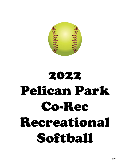

# 2022 Pelican Park Co-Rec Recreational Softball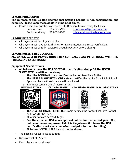# **LEAGUE PHILOSOPHY**

#### **The purpose of the Co-Rec Recreational Softball League is fun, socialization, and exercise. Please keep these goals in mind at all times.**

- Please direct any questions or concerns to Brennan Kuss or Bobby McKinney.
	-
	- o Brennan Kuss 985-626-7997 [brennankuss@pelicanpark.com](mailto:brennankuss@pelicanpark.com)
	- o Bobby McKinney 985-626-7997 [bobbymckinney@pelicanpark.com](mailto:bobbymckinney@pelicanpark.com)
- 

- **LEAGUE ELIGIBILITY**
	- All players must be 18 years or older.
	- All players must have ID at all times for age verification and roster verification.
	- All players must be fully registered through RecDesk before playing.

#### **LEAGUE RULES & REGULATIONS ALL GAMES WILL BE PLAYED UNDER USA SOFTBALL SLOW PITCH RULES WITH THE FOLLOWING EXCEPTIONS:**

#### **Equipment Specifications**

- **All bats must bear the USA SOFTBALL certification stamp OR the USSSA SLOW PITCH certification stamp.**
	- o The **USA SOFTBALL** stamp certifies the bat for Slow Pitch Softball.
	- o The **USSSA SLOW PITCH ONLY** stamp certifies the bat for Slow Pitch Softball.
	- $\circ$  Approved bats with old stamps will be allowed.
	- o Bats must contain one of these stamps.





**NEW USA STAMP OLD ASA STAMP NEW USSSA STAMP OLD USSSA STAMP**





- $\overline{\phantom{a}}$ o The **USA SOFTBALL CERTIFIED** stamp certifies the bat for Fast Pitch Softball and CANNOT be used.
- $\circ$  All other bats are deemed illegal.
- o **See the attached USA non-approved bat list for the current year. If a bat is on the non-approved list, it is illegal even if it bears the USA certification mark (bats manufactured prior to the USA ruling).**
- $\circ$  All banned MIKEN ULTRA bats will not be allowed.
- The pitching rubber is set at 50 feet.
- Bases are set at 65 feet.
- Metal cleats are not allowed.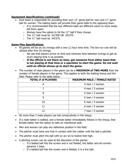# **Equipment Specifications (continued)**

- Each team is responsible for providing their own 12" game ball for men and 11" game ball for women. The batting team will provide their game balls to the opposing team.
	- $\circ$  It is recommended that the two different balls are different colors to more easily tell them apart.
	- $\circ$  Women have the option to hit the 12" ball if they choose.
	- $\circ$  The 12" ball must be .52/300 OR .44/375.
	- $\circ$  The 11" ball must be .44/375.

## **Game Play Specifications**

- All games will be six  $(6)$  innings with a one  $(1)$  hour time limit. The ten-run rule will be utilized after five (5) innings.
	- o We ask that players arrive on time and minimize time between innings to get as much playing time in as possible.
	- o **If the official is not there on time, get someone from either team that is not playing at that time or a spectator to start the game. Do not wait until an official shows up to start the game.**
- The number of male players in the game can be a **MAXIMUM of TWO MORE** than the number of female players in the game. This applies to both the batting lineup and the field. Please refer to the table below.

| <b>TOTAL # of PLAYERS</b> | <b>MAXIMUM MALE / FEMALE RATIO</b> |
|---------------------------|------------------------------------|
| 6                         | 4 men / 2 women                    |
|                           | 4 men / 3 women                    |
| 8                         | 5 men / 3 women                    |
| 9                         | 5 men / 4 women                    |
| 10                        | 6 men / 4 women                    |
| 11                        | 6 men / 5 women                    |
|                           | 7 men / 5 women                    |

- No more than 2 male players can bat consecutively in the lineup.
- If a male batter is walked, and a female batter immediately follows in the lineup, that female batter has the option to take an intentional walk.
- Men and women can play any defensive position in the field.
- The pitcher must have one foot in contact with the rubber until the ball is pitched.
- The pitcher must pitch the ball with an arc six to twelve feet high.
- A pitching screen can be used at the discretion of the pitcher.
	- $\circ$  If a batted ball hits the screen and is not fielded, the batter and all runners advance 1 base.
	- $\circ$  If a batted ball hits the screen and is fielded, it is a live ball.